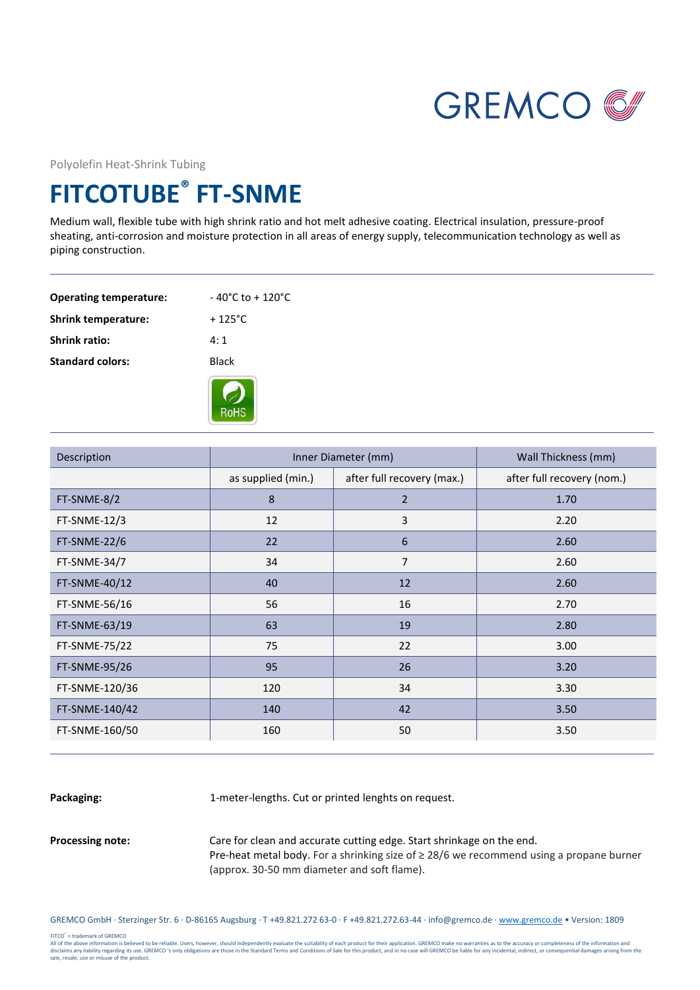

Polyolefin Heat-Shrink Tubing

## **FITCOTUBE® FT-SNME**

Medium wall, flexible tube with high shrink ratio and hot melt adhesive coating. Electrical insulation, pressure-proof sheating, anti-corrosion and moisture protection in all areas of energy supply, telecommunication technology as well as piping construction.

| <b>Operating temperature:</b> | $-40^{\circ}$ C to + 120 $^{\circ}$ C |
|-------------------------------|---------------------------------------|
| <b>Shrink temperature:</b>    | $+125^{\circ}$ C.                     |
| <b>Shrink ratio:</b>          | $4 \cdot 1$                           |
| <b>Standard colors:</b>       | <b>Black</b>                          |
|                               |                                       |



| Description    | Inner Diameter (mm) |                            | Wall Thickness (mm)        |
|----------------|---------------------|----------------------------|----------------------------|
|                | as supplied (min.)  | after full recovery (max.) | after full recovery (nom.) |
| FT-SNME-8/2    | 8                   | $\overline{2}$             | 1.70                       |
| FT-SNME-12/3   | 12                  | 3                          | 2.20                       |
| FT-SNME-22/6   | 22                  | 6                          | 2.60                       |
| FT-SNME-34/7   | 34                  | $\overline{7}$             | 2.60                       |
| FT-SNME-40/12  | 40                  | 12                         | 2.60                       |
| FT-SNME-56/16  | 56                  | 16                         | 2.70                       |
| FT-SNME-63/19  | 63                  | 19                         | 2.80                       |
| FT-SNME-75/22  | 75                  | 22                         | 3.00                       |
| FT-SNME-95/26  | 95                  | 26                         | 3.20                       |
| FT-SNME-120/36 | 120                 | 34                         | 3.30                       |
| FT-SNME-140/42 | 140                 | 42                         | 3.50                       |
| FT-SNME-160/50 | 160                 | 50                         | 3.50                       |

Packaging: 1-meter-lengths. Cut or printed lenghts on request.

**Processing note:** Care for clean and accurate cutting edge. Start shrinkage on the end. Pre-heat metal body. For a shrinking size of ≥ 28/6 we recommend using a propane burner (approx. 30-50 mm diameter and soft flame).

GREMCO GmbH · Sterzinger Str. 6 · D-86165 Augsburg · T +49.821.272 63-0 · F +49.821.272.63-44 · info@gremco.de [· www.gremco.de](http://www.gremco.de/) • Version: 1809

FITCO® = trademark of GREMCO

All of the above information is believed to be reliable. Users, however, should independently evaluate the suitability of each product for their application. GREMCO make no warranties as to the accuracy or completeness of